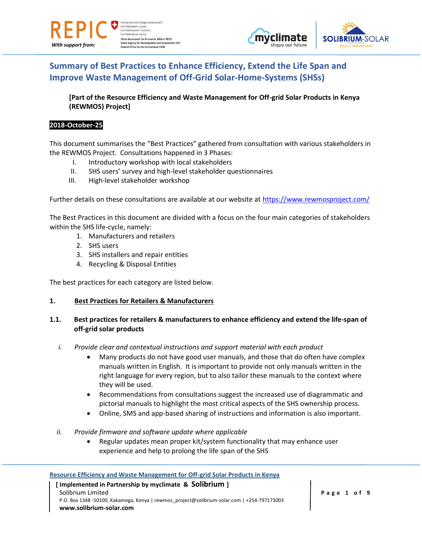

veizerische Eidgena Confédération suisse Confederazione Svizzera Confederaziun svizra **State Secretariat for Economic Affairs SECO** cy for Development and Coo Office for the Environn ent FOEN





# **Summary of Best Practices to Enhance Efficiency, Extend the Life Span and Improve Waste Management of Off-Grid Solar-Home-Systems (SHSs)**

**[Part of the Resource Efficiency and Waste Management for Off-grid Solar Products in Kenya (REWMOS) Project]**

#### **2018-October-25**

This document summarises the "Best Practices" gathered from consultation with various stakeholders in the REWMOS Project. Consultations happened in 3 Phases:

- I. Introductory workshop with local stakeholders
- II. SHS users' survey and high-level stakeholder questionnaires
- III. High-level stakeholder workshop

Further details on these consultations are available at our website at<https://www.rewmosproject.com/>

The Best Practices in this document are divided with a focus on the four main categories of stakeholders within the SHS life-cycle, namely:

- 1. Manufacturers and retailers
- 2. SHS users
- 3. SHS installers and repair entities
- 4. Recycling & Disposal Entities

The best practices for each category are listed below.

#### **1. Best Practices for Retailers & Manufacturers**

#### **1.1. Best practices for retailers & manufacturers to enhance efficiency and extend the life-span of off-grid solar products**

- *i. Provide clear and contextual instructions and support material with each product*
	- Many products do not have good user manuals, and those that do often have complex manuals written in English. It is important to provide not only manuals written in the right language for every region, but to also tailor these manuals to the context where they will be used.
	- Recommendations from consultations suggest the increased use of diagrammatic and pictorial manuals to highlight the most critical aspects of the SHS ownership process.
	- Online, SMS and app-based sharing of instructions and information is also important.
- *ii. Provide firmware and software update where applicable*
	- Regular updates mean proper kit/system functionality that may enhance user experience and help to prolong the life span of the SHS

#### **Resource Efficiency and Waste Management for Off-grid Solar Products in Kenya**

#### **[ Implemented in Partnership by myclimate & Solibrium ]** Solibrium Limited P.O. Box 1348 -50100, Kakamega, Kenya | rewmos\_project@solibrium-solar.com | +254-797173003 **www.solibrium-solar.com**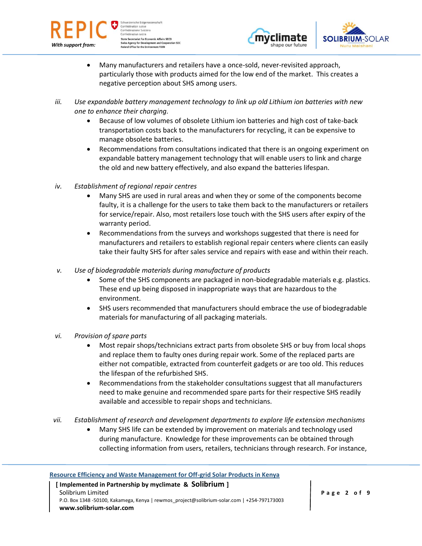





- Many manufacturers and retailers have a once-sold, never-revisited approach, particularly those with products aimed for the low end of the market. This creates a negative perception about SHS among users.
- *iii. Use expandable battery management technology to link up old Lithium ion batteries with new one to enhance their charging.*
	- Because of low volumes of obsolete Lithium ion batteries and high cost of take-back transportation costs back to the manufacturers for recycling, it can be expensive to manage obsolete batteries.
	- Recommendations from consultations indicated that there is an ongoing experiment on expandable battery management technology that will enable users to link and charge the old and new battery effectively, and also expand the batteries lifespan.
- *iv. Establishment of regional repair centres*
	- Many SHS are used in rural areas and when they or some of the components become faulty, it is a challenge for the users to take them back to the manufacturers or retailers for service/repair. Also, most retailers lose touch with the SHS users after expiry of the warranty period.
	- Recommendations from the surveys and workshops suggested that there is need for manufacturers and retailers to establish regional repair centers where clients can easily take their faulty SHS for after sales service and repairs with ease and within their reach.
- *v. Use of biodegradable materials during manufacture of products*
	- Some of the SHS components are packaged in non-biodegradable materials e.g. plastics. These end up being disposed in inappropriate ways that are hazardous to the environment.
	- SHS users recommended that manufacturers should embrace the use of biodegradable materials for manufacturing of all packaging materials.
- *vi. Provision of spare parts*
	- Most repair shops/technicians extract parts from obsolete SHS or buy from local shops and replace them to faulty ones during repair work. Some of the replaced parts are either not compatible, extracted from counterfeit gadgets or are too old. This reduces the lifespan of the refurbished SHS.
	- Recommendations from the stakeholder consultations suggest that all manufacturers need to make genuine and recommended spare parts for their respective SHS readily available and accessible to repair shops and technicians.
- *vii. Establishment of research and development departments to explore life extension mechanisms*
	- Many SHS life can be extended by improvement on materials and technology used during manufacture. Knowledge for these improvements can be obtained through collecting information from users, retailers, technicians through research. For instance,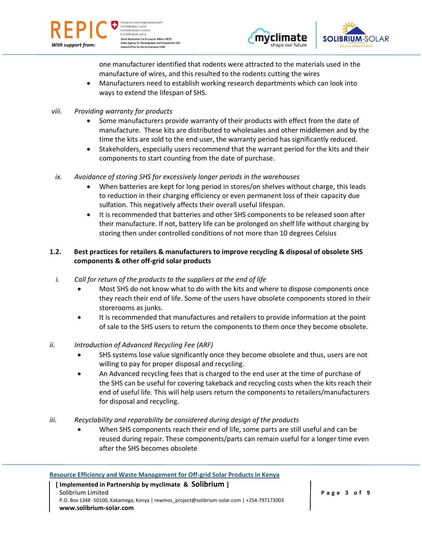

weizerische Eidgenas Confédération suisse Confederazione Svizzera Confederaziun svizra **State Secretariat for Economic Affairs SECO Agency for Development and Coop**<br>I Office for the Environment FOEN **eration SDC** 





one manufacturer identified that rodents were attracted to the materials used in the manufacture of wires, and this resulted to the rodents cutting the wires

- Manufacturers need to establish working research departments which can look into ways to extend the lifespan of SHS.
- *viii. Providing warranty for products*
	- Some manufacturers provide warranty of their products with effect from the date of manufacture. These kits are distributed to wholesales and other middlemen and by the time the kits are sold to the end user, the warranty period has significantly reduced.
	- Stakeholders, especially users recommend that the warrant period for the kits and their components to start counting from the date of purchase.
- *ix. Avoidance of storing SHS for excessively longer periods in the warehouses*
	- When batteries are kept for long period in stores/on shelves without charge, this leads to reduction in their charging efficiency or even permanent loss of their capacity due sulfation. This negatively affects their overall useful lifespan.
	- It is recommended that batteries and other SHS components to be released soon after their manufacture. If not, battery life can be prolonged on shelf life without charging by storing then under controlled conditions of not more than 10 degrees Celsius

# **1.2. Best practices for retailers & manufacturers to improve recycling & disposal of obsolete SHS components & other off-grid solar products**

- *i. Call for return of the products to the suppliers at the end of life*
	- Most SHS do not know what to do with the kits and where to dispose components once they reach their end of life. Some of the users have obsolete components stored in their storerooms as junks.
	- It is recommended that manufactures and retailers to provide information at the point of sale to the SHS users to return the components to them once they become obsolete.

# *ii. Introduction of Advanced Recycling Fee (ARF)*

- SHS systems lose value significantly once they become obsolete and thus, users are not willing to pay for proper disposal and recycling.
- An Advanced recycling fees that is charged to the end user at the time of purchase of the SHS can be useful for covering takeback and recycling costs when the kits reach their end of useful life. This will help users return the components to retailers/manufacturers for disposal and recycling.
- *iii. Recyclability and reparability be considered during design of the products*
	- When SHS components reach their end of life, some parts are still useful and can be reused during repair. These components/parts can remain useful for a longer time even after the SHS becomes obsolete

#### **Resource Efficiency and Waste Management for Off-grid Solar Products in Kenya [ Implemented in Partnership by myclimate & Solibrium ]** Solibrium Limited P.O. Box 1348 -50100, Kakamega, Kenya | rewmos\_project@solibrium-solar.com | +254-797173003 **www.solibrium-solar.com**

**P a g e 3 o f 9**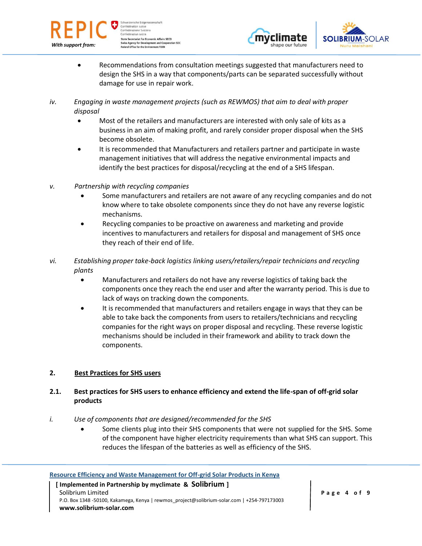





- Recommendations from consultation meetings suggested that manufacturers need to design the SHS in a way that components/parts can be separated successfully without damage for use in repair work.
- *iv. Engaging in waste management projects (such as REWMOS) that aim to deal with proper disposal*
	- Most of the retailers and manufacturers are interested with only sale of kits as a business in an aim of making profit, and rarely consider proper disposal when the SHS become obsolete.
	- It is recommended that Manufacturers and retailers partner and participate in waste management initiatives that will address the negative environmental impacts and identify the best practices for disposal/recycling at the end of a SHS lifespan.
- *v. Partnership with recycling companies*
	- Some manufacturers and retailers are not aware of any recycling companies and do not know where to take obsolete components since they do not have any reverse logistic mechanisms.
	- Recycling companies to be proactive on awareness and marketing and provide incentives to manufacturers and retailers for disposal and management of SHS once they reach of their end of life.
- *vi. Establishing proper take-back logistics linking users/retailers/repair technicians and recycling plants*
	- Manufacturers and retailers do not have any reverse logistics of taking back the components once they reach the end user and after the warranty period. This is due to lack of ways on tracking down the components.
	- It is recommended that manufacturers and retailers engage in ways that they can be able to take back the components from users to retailers/technicians and recycling companies for the right ways on proper disposal and recycling. These reverse logistic mechanisms should be included in their framework and ability to track down the components.

# **2. Best Practices for SHS users**

# **2.1. Best practices for SHS users to enhance efficiency and extend the life-span of off-grid solar products**

- *i. Use of components that are designed/recommended for the SHS*
	- Some clients plug into their SHS components that were not supplied for the SHS. Some of the component have higher electricity requirements than what SHS can support. This reduces the lifespan of the batteries as well as efficiency of the SHS.

# **Resource Efficiency and Waste Management for Off-grid Solar Products in Kenya**

 **[ Implemented in Partnership by myclimate & Solibrium ]** Solibrium Limited P.O. Box 1348 -50100, Kakamega, Kenya | rewmos\_project@solibrium-solar.com | +254-797173003 **www.solibrium-solar.com**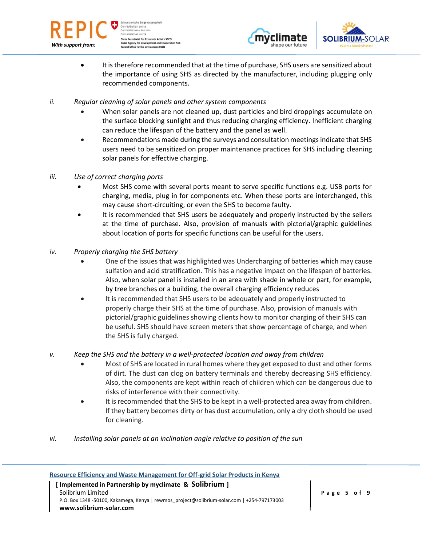

weizerische Eidgena Confédération suisse Confederazione Svizzera Confederaziun svizra **State Secretariat for Economic Affairs SECO** cy for Development and Coo eration SDC Office for the Environm ent FOEN





- It is therefore recommended that at the time of purchase, SHS users are sensitized about the importance of using SHS as directed by the manufacturer, including plugging only recommended components.
- *ii. Regular cleaning of solar panels and other system components*
	- When solar panels are not cleaned up, dust particles and bird droppings accumulate on the surface blocking sunlight and thus reducing charging efficiency. Inefficient charging can reduce the lifespan of the battery and the panel as well.
	- Recommendations made during the surveys and consultation meetings indicate that SHS users need to be sensitized on proper maintenance practices for SHS including cleaning solar panels for effective charging.
- *iii. Use of correct charging ports*
	- Most SHS come with several ports meant to serve specific functions e.g. USB ports for charging, media, plug in for components etc. When these ports are interchanged, this may cause short-circuiting, or even the SHS to become faulty.
	- It is recommended that SHS users be adequately and properly instructed by the sellers at the time of purchase. Also, provision of manuals with pictorial/graphic guidelines about location of ports for specific functions can be useful for the users.
- *iv. Properly charging the SHS battery*
	- One of the issues that was highlighted was Undercharging of batteries which may cause sulfation and acid stratification. This has a negative impact on the lifespan of batteries. Also, when solar panel is installed in an area with shade in whole or part, for example, by tree branches or a building, the overall charging efficiency reduces
	- It is recommended that SHS users to be adequately and properly instructed to properly charge their SHS at the time of purchase. Also, provision of manuals with pictorial/graphic guidelines showing clients how to monitor charging of their SHS can be useful. SHS should have screen meters that show percentage of charge, and when the SHS is fully charged.

# *v. Keep the SHS and the battery in a well-protected location and away from children*

- Most of SHS are located in rural homes where they get exposed to dust and other forms of dirt. The dust can clog on battery terminals and thereby decreasing SHS efficiency. Also, the components are kept within reach of children which can be dangerous due to risks of interference with their connectivity.
- It is recommended that the SHS to be kept in a well-protected area away from children. If they battery becomes dirty or has dust accumulation, only a dry cloth should be used for cleaning.
- *vi. Installing solar panels at an inclination angle relative to position of the sun*

| Resource Efficiency and Waste Management for Off-grid Solar Products in Kenya               |             |
|---------------------------------------------------------------------------------------------|-------------|
| [Implemented in Partnership by myclimate & Solibrium ]                                      |             |
| Solibrium Limited                                                                           | Page 5 of 9 |
| P.O. Box 1348 -50100, Kakamega, Kenya   rewmos project@solibrium-solar.com   +254-797173003 |             |
| www.solibrium-solar.com                                                                     |             |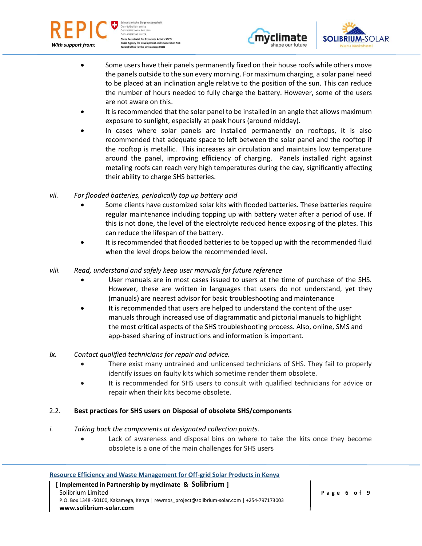

weizerische Eidgenas Confédération suisse Confederazione Svizzera Confederaziun svizra **State Secretariat for Economic Affairs SECO** gency for Development and Coop<br>Office for the Environment FOEN **Pration SDC** 





- Some users have their panels permanently fixed on their house roofs while others move the panels outside to the sun every morning. For maximum charging, a solar panel need to be placed at an inclination angle relative to the position of the sun. This can reduce the number of hours needed to fully charge the battery. However, some of the users are not aware on this.
- It is recommended that the solar panel to be installed in an angle that allows maximum exposure to sunlight, especially at peak hours (around midday).
- In cases where solar panels are installed permanently on rooftops, it is also recommended that adequate space to left between the solar panel and the rooftop if the rooftop is metallic. This increases air circulation and maintains low temperature around the panel, improving efficiency of charging. Panels installed right against metaling roofs can reach very high temperatures during the day, significantly affecting their ability to charge SHS batteries.
- *vii. For flooded batteries, periodically top up battery acid*
	- Some clients have customized solar kits with flooded batteries. These batteries require regular maintenance including topping up with battery water after a period of use. If this is not done, the level of the electrolyte reduced hence exposing of the plates. This can reduce the lifespan of the battery.
	- It is recommended that flooded batteries to be topped up with the recommended fluid when the level drops below the recommended level.
- *viii. Read, understand and safely keep user manuals for future reference*
	- User manuals are in most cases issued to users at the time of purchase of the SHS. However, these are written in languages that users do not understand, yet they (manuals) are nearest advisor for basic troubleshooting and maintenance
	- It is recommended that users are helped to understand the content of the user manuals through increased use of diagrammatic and pictorial manuals to highlight the most critical aspects of the SHS troubleshooting process. Also, online, SMS and app-based sharing of instructions and information is important.

# *ix. Contact qualified technicians for repair and advice.*

- There exist many untrained and unlicensed technicians of SHS. They fail to properly identify issues on faulty kits which sometime render them obsolete.
- It is recommended for SHS users to consult with qualified technicians for advice or repair when their kits become obsolete.

# 2.2. **Best practices for SHS users on Disposal of obsolete SHS/components**

- *i. Taking back the components at designated collection points.*
	- Lack of awareness and disposal bins on where to take the kits once they become obsolete is a one of the main challenges for SHS users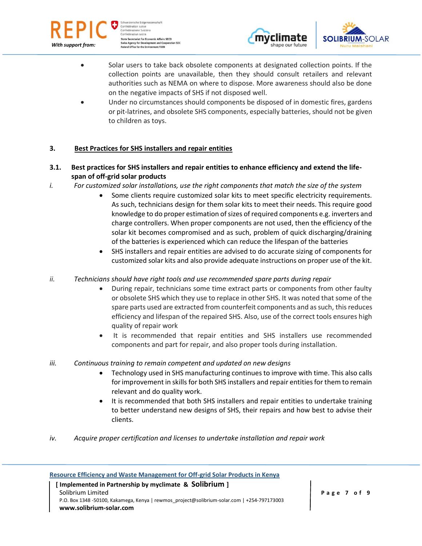





- Solar users to take back obsolete components at designated collection points. If the collection points are unavailable, then they should consult retailers and relevant authorities such as NEMA on where to dispose. More awareness should also be done on the negative impacts of SHS if not disposed well.
- Under no circumstances should components be disposed of in domestic fires, gardens or pit-latrines, and obsolete SHS components, especially batteries, should not be given to children as toys.

# **3. Best Practices for SHS installers and repair entities**

- **3.1. Best practices for SHS installers and repair entities to enhance efficiency and extend the lifespan of off-grid solar products**
- *i. For customized solar installations, use the right components that match the size of the system*
	- Some clients require customized solar kits to meet specific electricity requirements. As such, technicians design for them solar kits to meet their needs. This require good knowledge to do proper estimation of sizes of required components e.g. inverters and charge controllers. When proper components are not used, then the efficiency of the solar kit becomes compromised and as such, problem of quick discharging/draining of the batteries is experienced which can reduce the lifespan of the batteries
	- SHS installers and repair entities are advised to do accurate sizing of components for customized solar kits and also provide adequate instructions on proper use of the kit.
- *ii. Technicians should have right tools and use recommended spare parts during repair*
	- During repair, technicians some time extract parts or components from other faulty or obsolete SHS which they use to replace in other SHS. It was noted that some of the spare parts used are extracted from counterfeit components and as such, this reduces efficiency and lifespan of the repaired SHS. Also, use of the correct tools ensures high quality of repair work
	- It is recommended that repair entities and SHS installers use recommended components and part for repair, and also proper tools during installation.
- *iii. Continuous training to remain competent and updated on new designs*
	- Technology used in SHS manufacturing continues to improve with time. This also calls for improvement in skills for both SHS installers and repair entities for them to remain relevant and do quality work.
	- It is recommended that both SHS installers and repair entities to undertake training to better understand new designs of SHS, their repairs and how best to advise their clients.
- *iv. Acquire proper certification and licenses to undertake installation and repair work*

#### **Resource Efficiency and Waste Management for Off-grid Solar Products in Kenya**

#### **[ Implemented in Partnership by myclimate & Solibrium ]** Solibrium Limited P.O. Box 1348 -50100, Kakamega, Kenya | rewmos\_project@solibrium-solar.com | +254-797173003 **www.solibrium-solar.com**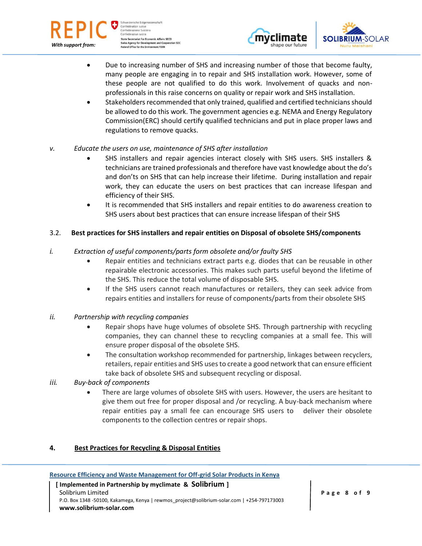

weizerische Eidgenas Confédération suisse Confederazione Svizzera Confederaziun svizra **State Secretariat for Economic Affairs SECO Agency for Development and Coop**<br>I Office for the Environment FOEN peration SDC





- Due to increasing number of SHS and increasing number of those that become faulty, many people are engaging in to repair and SHS installation work. However, some of these people are not qualified to do this work. Involvement of quacks and nonprofessionals in this raise concerns on quality or repair work and SHS installation.
- Stakeholders recommended that only trained, qualified and certified technicians should be allowed to do this work. The government agencies e.g. NEMA and Energy Regulatory Commission(ERC) should certify qualified technicians and put in place proper laws and regulations to remove quacks.
- *v. Educate the users on use, maintenance of SHS after installation*
	- SHS installers and repair agencies interact closely with SHS users. SHS installers & technicians are trained professionals and therefore have vast knowledge about the do's and don'ts on SHS that can help increase their lifetime. During installation and repair work, they can educate the users on best practices that can increase lifespan and efficiency of their SHS.
	- It is recommended that SHS installers and repair entities to do awareness creation to SHS users about best practices that can ensure increase lifespan of their SHS

# 3.2. **Best practices for SHS installers and repair entities on Disposal of obsolete SHS/components**

#### *i. Extraction of useful components/parts form obsolete and/or faulty SHS*

- Repair entities and technicians extract parts e.g. diodes that can be reusable in other repairable electronic accessories. This makes such parts useful beyond the lifetime of the SHS. This reduce the total volume of disposable SHS.
- If the SHS users cannot reach manufactures or retailers, they can seek advice from repairs entities and installers for reuse of components/parts from their obsolete SHS
- *ii. Partnership with recycling companies*
	- Repair shops have huge volumes of obsolete SHS. Through partnership with recycling companies, they can channel these to recycling companies at a small fee. This will ensure proper disposal of the obsolete SHS.
	- The consultation workshop recommended for partnership, linkages between recyclers, retailers, repair entities and SHS uses to create a good network that can ensure efficient take back of obsolete SHS and subsequent recycling or disposal.
- *iii. Buy-back of components*
	- There are large volumes of obsolete SHS with users. However, the users are hesitant to give them out free for proper disposal and /or recycling. A buy-back mechanism where repair entities pay a small fee can encourage SHS users to deliver their obsolete components to the collection centres or repair shops.

# **4. Best Practices for Recycling & Disposal Entities**

**Resource Efficiency and Waste Management for Off-grid Solar Products in Kenya**

 **[ Implemented in Partnership by myclimate & Solibrium ]** Solibrium Limited P.O. Box 1348 -50100, Kakamega, Kenya | rewmos\_project@solibrium-solar.com | +254-797173003 **www.solibrium-solar.com**

**P a g e 8 o f 9**